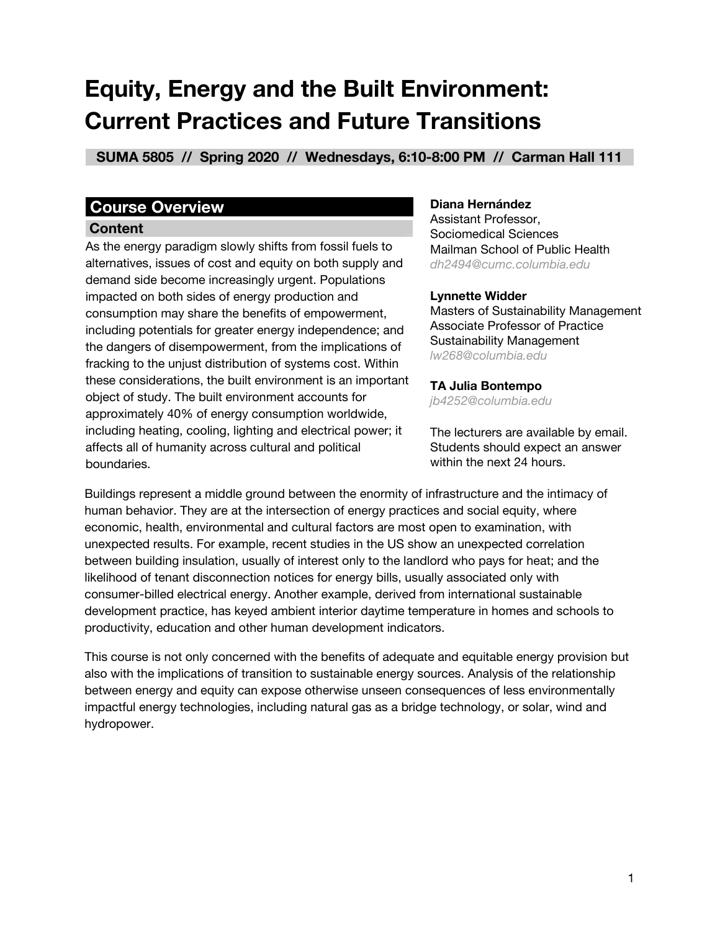# **Equity, Energy and the Built Environment: Current Practices and Future Transitions**

 **SUMA 5805 // Spring 2020 // Wednesdays, 6:10-8:00 PM // Carman Hall 111 \_**

# **Course Overview\_\_\_\_\_\_\_\_\_\_\_\_\_ \_ \_ \_\_ \_**

#### **Content \_**

As the energy paradigm slowly shifts from fossil fuels to alternatives, issues of cost and equity on both supply and demand side become increasingly urgent. Populations impacted on both sides of energy production and consumption may share the benefits of empowerment, including potentials for greater energy independence; and the dangers of disempowerment, from the implications of fracking to the unjust distribution of systems cost. Within these considerations, the built environment is an important object of study. The built environment accounts for approximately 40% of energy consumption worldwide, including heating, cooling, lighting and electrical power; it affects all of humanity across cultural and political boundaries.

#### **Diana Hernández**

Assistant Professor, Sociomedical Sciences Mailman School of Public Health *dh2494@cumc.columbia.edu*

#### **Lynnette Widder**

Masters of Sustainability Management Associate Professor of Practice Sustainability Management *lw268@columbia.edu*

#### **TA Julia Bontempo**

*jb4252@columbia.edu*

The lecturers are available by email. Students should expect an answer within the next 24 hours.

Buildings represent a middle ground between the enormity of infrastructure and the intimacy of human behavior. They are at the intersection of energy practices and social equity, where economic, health, environmental and cultural factors are most open to examination, with unexpected results. For example, recent studies in the US show an unexpected correlation between building insulation, usually of interest only to the landlord who pays for heat; and the likelihood of tenant disconnection notices for energy bills, usually associated only with consumer-billed electrical energy. Another example, derived from international sustainable development practice, has keyed ambient interior daytime temperature in homes and schools to productivity, education and other human development indicators.

This course is not only concerned with the benefits of adequate and equitable energy provision but also with the implications of transition to sustainable energy sources. Analysis of the relationship between energy and equity can expose otherwise unseen consequences of less environmentally impactful energy technologies, including natural gas as a bridge technology, or solar, wind and hydropower.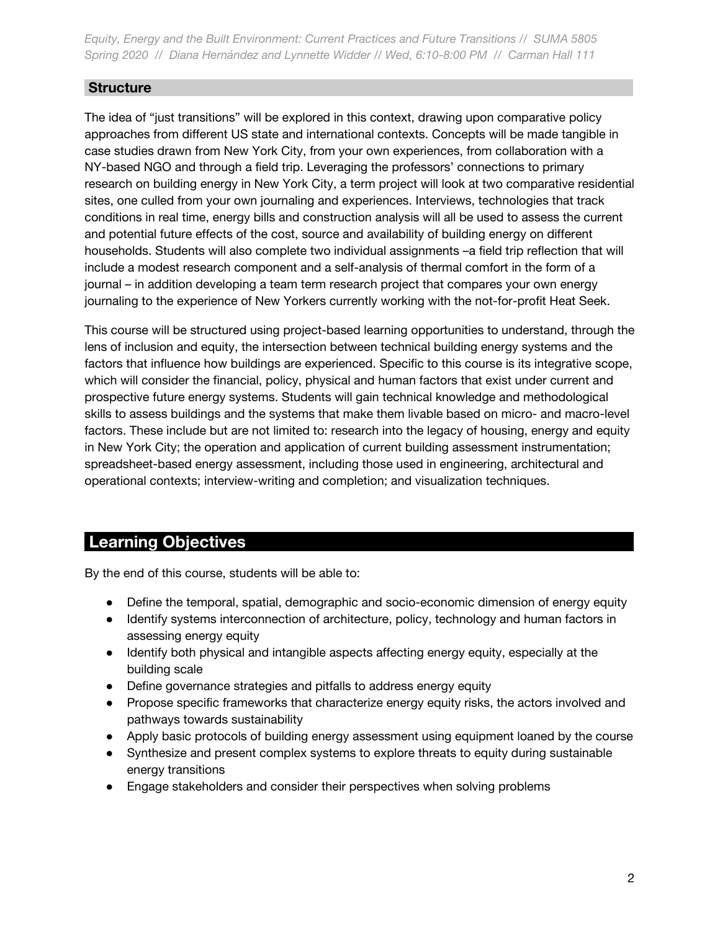## **Structure \_**

The idea of "just transitions" will be explored in this context, drawing upon comparative policy approaches from different US state and international contexts. Concepts will be made tangible in case studies drawn from New York City, from your own experiences, from collaboration with a NY-based NGO and through a field trip. Leveraging the professors' connections to primary research on building energy in New York City, a term project will look at two comparative residential sites, one culled from your own journaling and experiences. Interviews, technologies that track conditions in real time, energy bills and construction analysis will all be used to assess the current and potential future effects of the cost, source and availability of building energy on different households. Students will also complete two individual assignments –a field trip reflection that will include a modest research component and a self-analysis of thermal comfort in the form of a journal – in addition developing a team term research project that compares your own energy journaling to the experience of New Yorkers currently working with the not-for-profit Heat Seek.

This course will be structured using project-based learning opportunities to understand, through the lens of inclusion and equity, the intersection between technical building energy systems and the factors that influence how buildings are experienced. Specific to this course is its integrative scope, which will consider the financial, policy, physical and human factors that exist under current and prospective future energy systems. Students will gain technical knowledge and methodological skills to assess buildings and the systems that make them livable based on micro- and macro-level factors. These include but are not limited to: research into the legacy of housing, energy and equity in New York City; the operation and application of current building assessment instrumentation; spreadsheet-based energy assessment, including those used in engineering, architectural and operational contexts; interview-writing and completion; and visualization techniques.

# **Learning Objectives \_\_\_\_\_\_\_\_\_\_\_\_\_\_ \_\_\_\_\_\_\_\_\_\_\_\_\_\_\_\_\_\_\_\_\_\_\_\_\_\_\_\_\_\_\_**

By the end of this course, students will be able to:

- Define the temporal, spatial, demographic and socio-economic dimension of energy equity
- Identify systems interconnection of architecture, policy, technology and human factors in assessing energy equity
- Identify both physical and intangible aspects affecting energy equity, especially at the building scale
- Define governance strategies and pitfalls to address energy equity
- Propose specific frameworks that characterize energy equity risks, the actors involved and pathways towards sustainability
- Apply basic protocols of building energy assessment using equipment loaned by the course
- Synthesize and present complex systems to explore threats to equity during sustainable energy transitions
- Engage stakeholders and consider their perspectives when solving problems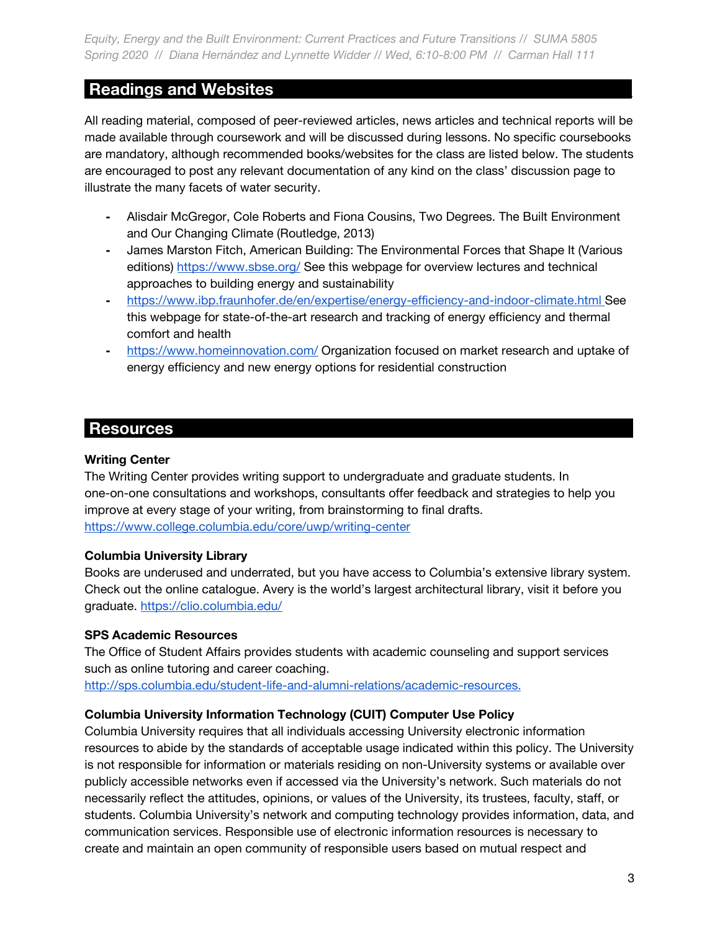# **Readings and Websites\_\_\_\_\_\_\_\_\_\_\_ \_\_\_\_\_\_\_\_\_\_\_\_\_\_\_\_\_\_\_\_\_\_\_\_\_\_\_\_\_\_\_**

All reading material, composed of peer-reviewed articles, news articles and technical reports will be made available through coursework and will be discussed during lessons. No specific coursebooks are mandatory, although recommended books/websites for the class are listed below. The students are encouraged to post any relevant documentation of any kind on the class' discussion page to illustrate the many facets of water security.

- **-** Alisdair McGregor, Cole Roberts and Fiona Cousins, Two Degrees. The Built Environment and Our Changing Climate (Routledge, 2013)
- **-** James Marston Fitch, American Building: The Environmental Forces that Shape It (Various editions) <https://www.sbse.org/>See this webpage for overview lectures and technical approaches to building energy and sustainability
- **-** <https://www.ibp.fraunhofer.de/en/expertise/energy-efficiency-and-indoor-climate.html>See this webpage for state-of-the-art research and tracking of energy efficiency and thermal comfort and health
- **-** <https://www.homeinnovation.com/>Organization focused on market research and uptake of energy efficiency and new energy options for residential construction

# **Resources \_\_\_\_ \_\_\_\_\_\_\_\_\_\_\_\_\_\_\_\_\_\_\_\_\_\_\_\_\_\_\_\_\_\_ \_\_\_\_\_\_\_\_\_\_\_\_\_\_\_\_\_\_**

### **Writing Center**

The Writing Center provides writing support to undergraduate and graduate students. In one-on-one consultations and workshops, consultants offer feedback and strategies to help you improve at every stage of your writing, from brainstorming to final drafts. <https://www.college.columbia.edu/core/uwp/writing-center>

#### **Columbia University Library**

Books are underused and underrated, but you have access to Columbia's extensive library system. Check out the online catalogue. Avery is the world's largest architectural library, visit it before you graduate. <https://clio.columbia.edu/>

#### **SPS Academic Resources**

The Office of Student Affairs provides students with academic counseling and support services such as online tutoring and career coaching. <http://sps.columbia.edu/student-life-and-alumni-relations/academic-resources.>

#### **Columbia University Information Technology (CUIT) Computer Use Policy**

Columbia University requires that all individuals accessing University electronic information resources to abide by the standards of acceptable usage indicated within this policy. The University is not responsible for information or materials residing on non-University systems or available over publicly accessible networks even if accessed via the University's network. Such materials do not necessarily reflect the attitudes, opinions, or values of the University, its trustees, faculty, staff, or students. Columbia University's network and computing technology provides information, data, and communication services. Responsible use of electronic information resources is necessary to create and maintain an open community of responsible users based on mutual respect and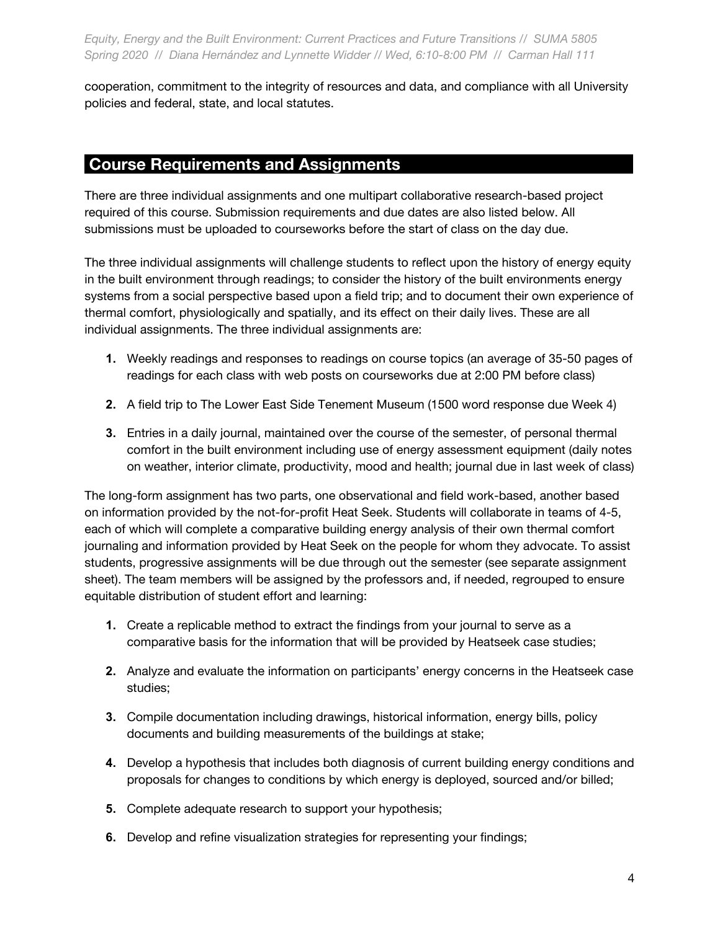cooperation, commitment to the integrity of resources and data, and compliance with all University policies and federal, state, and local statutes.

# **Course Requirements and Assignments \_**

There are three individual assignments and one multipart collaborative research-based project required of this course. Submission requirements and due dates are also listed below. All submissions must be uploaded to courseworks before the start of class on the day due.

The three individual assignments will challenge students to reflect upon the history of energy equity in the built environment through readings; to consider the history of the built environments energy systems from a social perspective based upon a field trip; and to document their own experience of thermal comfort, physiologically and spatially, and its effect on their daily lives. These are all individual assignments. The three individual assignments are:

- **1.** Weekly readings and responses to readings on course topics (an average of 35-50 pages of readings for each class with web posts on courseworks due at 2:00 PM before class)
- **2.** A field trip to The Lower East Side Tenement Museum (1500 word response due Week 4)
- **3.** Entries in a daily journal, maintained over the course of the semester, of personal thermal comfort in the built environment including use of energy assessment equipment (daily notes on weather, interior climate, productivity, mood and health; journal due in last week of class)

The long-form assignment has two parts, one observational and field work-based, another based on information provided by the not-for-profit Heat Seek. Students will collaborate in teams of 4-5, each of which will complete a comparative building energy analysis of their own thermal comfort journaling and information provided by Heat Seek on the people for whom they advocate. To assist students, progressive assignments will be due through out the semester (see separate assignment sheet). The team members will be assigned by the professors and, if needed, regrouped to ensure equitable distribution of student effort and learning:

- **1.** Create a replicable method to extract the findings from your journal to serve as a comparative basis for the information that will be provided by Heatseek case studies;
- **2.** Analyze and evaluate the information on participants' energy concerns in the Heatseek case studies;
- **3.** Compile documentation including drawings, historical information, energy bills, policy documents and building measurements of the buildings at stake;
- **4.** Develop a hypothesis that includes both diagnosis of current building energy conditions and proposals for changes to conditions by which energy is deployed, sourced and/or billed;
- **5.** Complete adequate research to support your hypothesis;
- **6.** Develop and refine visualization strategies for representing your findings;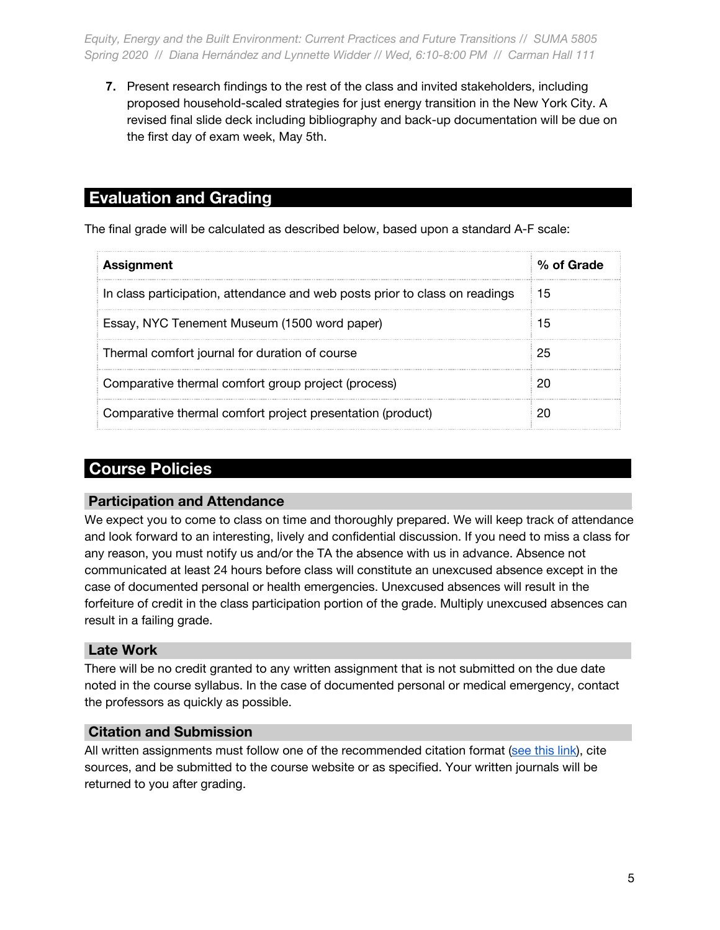**7.** Present research findings to the rest of the class and invited stakeholders, including proposed household-scaled strategies for just energy transition in the New York City. A revised final slide deck including bibliography and back-up documentation will be due on the first day of exam week, May 5th.

# **Evaluation and Grading \_**

The final grade will be calculated as described below, based upon a standard A-F scale:

| <b>Assignment</b>                                                           | % of Grade |
|-----------------------------------------------------------------------------|------------|
| In class participation, attendance and web posts prior to class on readings | 15         |
| Essay, NYC Tenement Museum (1500 word paper)                                | 15         |
| Thermal comfort journal for duration of course                              | 25         |
| Comparative thermal comfort group project (process)                         |            |
| Comparative thermal comfort project presentation (product)                  |            |

# **Course Policies \_**

#### **Participation and Attendance \_**

We expect you to come to class on time and thoroughly prepared. We will keep track of attendance and look forward to an interesting, lively and confidential discussion. If you need to miss a class for any reason, you must notify us and/or the TA the absence with us in advance. Absence not communicated at least 24 hours before class will constitute an unexcused absence except in the case of documented personal or health emergencies. Unexcused absences will result in the forfeiture of credit in the class participation portion of the grade. Multiply unexcused absences can result in a failing grade.

## **Late Work \_**

There will be no credit granted to any written assignment that is not submitted on the due date noted in the course syllabus. In the case of documented personal or medical emergency, contact the professors as quickly as possible.

#### **Citation and Submission \_**

All written assignments must follow one of the recommended citation format ([see this link](https://library.columbia.edu/libraries/undergraduate/citationguide.html)), cite sources, and be submitted to the course website or as specified. Your written journals will be returned to you after grading.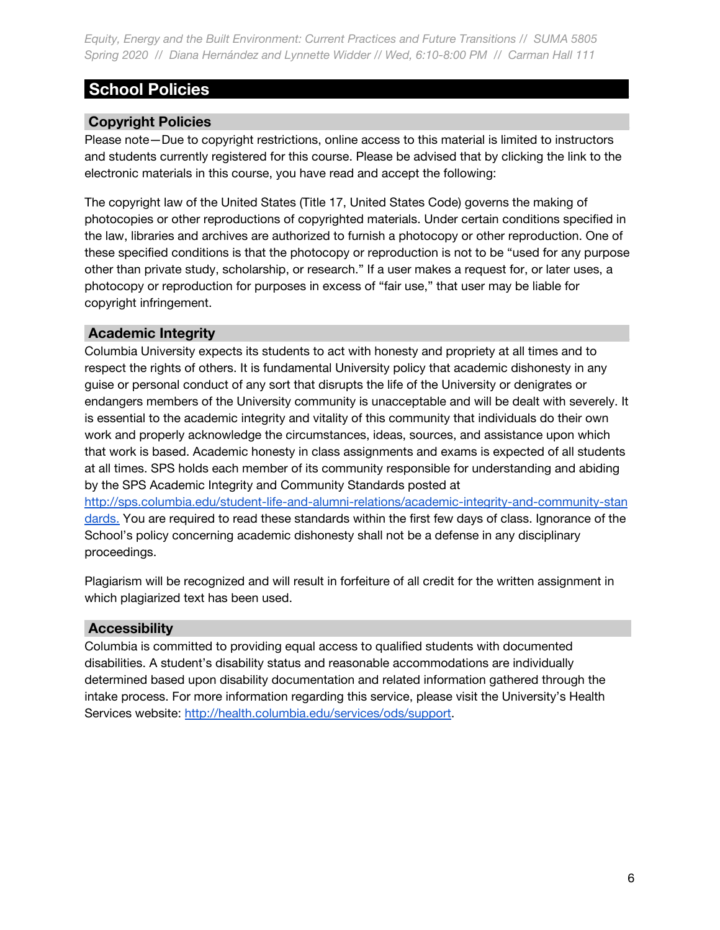# **School Policies \_**

# **Copyright Policies \_**

Please note—Due to copyright restrictions, online access to this material is limited to instructors and students currently registered for this course. Please be advised that by clicking the link to the electronic materials in this course, you have read and accept the following:

The copyright law of the United States (Title 17, United States Code) governs the making of photocopies or other reproductions of copyrighted materials. Under certain conditions specified in the law, libraries and archives are authorized to furnish a photocopy or other reproduction. One of these specified conditions is that the photocopy or reproduction is not to be "used for any purpose other than private study, scholarship, or research." If a user makes a request for, or later uses, a photocopy or reproduction for purposes in excess of "fair use," that user may be liable for copyright infringement.

### **Academic Integrity \_**

Columbia University expects its students to act with honesty and propriety at all times and to respect the rights of others. It is fundamental University policy that academic dishonesty in any guise or personal conduct of any sort that disrupts the life of the University or denigrates or endangers members of the University community is unacceptable and will be dealt with severely. It is essential to the academic integrity and vitality of this community that individuals do their own work and properly acknowledge the circumstances, ideas, sources, and assistance upon which that work is based. Academic honesty in class assignments and exams is expected of all students at all times. SPS holds each member of its community responsible for understanding and abiding by the SPS Academic Integrity and Community Standards posted at [http://sps.columbia.edu/student-life-and-alumni-relations/academic-integrity-and-community-stan](http://sps.columbia.edu/student-life-and-alumni-relations/academic-integrity-and-community-standards.) [dards.](http://sps.columbia.edu/student-life-and-alumni-relations/academic-integrity-and-community-standards.) You are required to read these standards within the first few days of class. Ignorance of the

School's policy concerning academic dishonesty shall not be a defense in any disciplinary proceedings.

Plagiarism will be recognized and will result in forfeiture of all credit for the written assignment in which plagiarized text has been used.

## **Accessibility \_**

Columbia is committed to providing equal access to qualified students with documented disabilities. A student's disability status and reasonable accommodations are individually determined based upon disability documentation and related information gathered through the intake process. For more information regarding this service, please visit the University's Health Services website: [http://health.columbia.edu/services/ods/support.](http://health.columbia.edu/services/ods/support)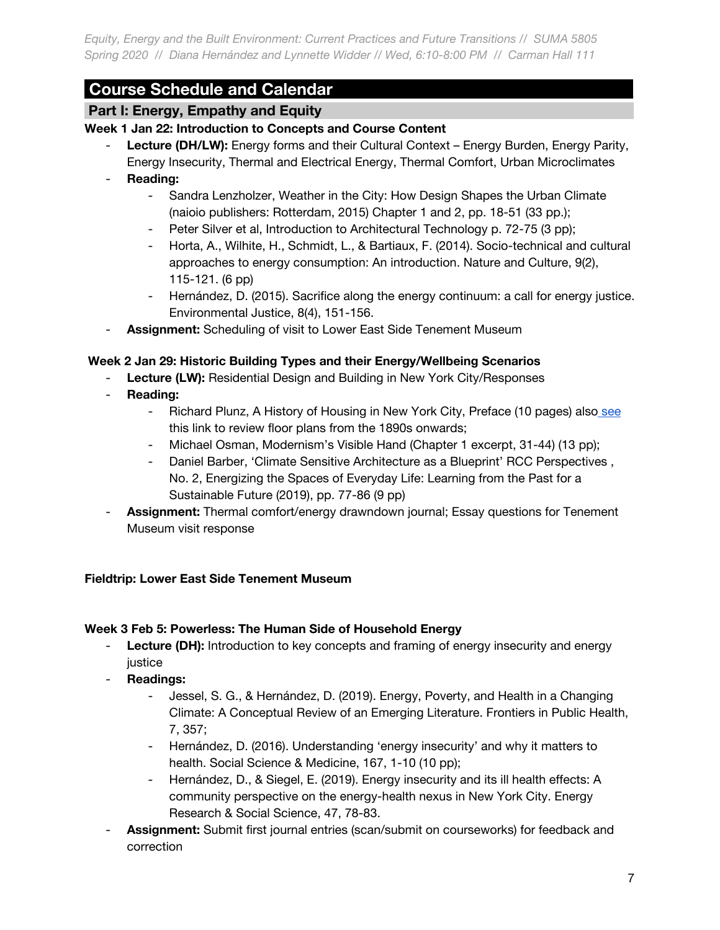# **Course Schedule and Calendar \_**

# **Part I: Energy, Empathy and Equity \_**

## **Week 1 Jan 22: Introduction to Concepts and Course Content**

- **Lecture (DH/LW):** Energy forms and their Cultural Context Energy Burden, Energy Parity, Energy Insecurity, Thermal and Electrical Energy, Thermal Comfort, Urban Microclimates
- **Reading:**
	- Sandra Lenzholzer, Weather in the City: How Design Shapes the Urban Climate (naioio publishers: Rotterdam, 2015) Chapter 1 and 2, pp. 18-51 (33 pp.);
	- Peter Silver et al, Introduction to Architectural Technology p. 72-75 (3 pp);
	- Horta, A., Wilhite, H., Schmidt, L., & Bartiaux, F. (2014). Socio-technical and cultural approaches to energy consumption: An introduction. Nature and Culture, 9(2), 115-121. (6 pp)
	- Hernández, D. (2015). Sacrifice along the energy continuum: a call for energy justice. Environmental Justice, 8(4), 151-156.
- Assignment: Scheduling of visit to Lower East Side Tenement Museum

### **Week 2 Jan 29: Historic Building Types and their Energy/Wellbeing Scenarios**

- **Lecture (LW):** Residential Design and Building in New York City/Responses
- **Reading:**
	- Richard Plunz, A History of Housing in New York City, Preface (10 pages) als[o see](https://web.a.ebscohost.com/ehost/ebookviewer/ebook/ZTAyNXhuYV9fMTgyMTQ1N19fQU41?sid=e6a73a54-bd7d-4c31-990a-219d2d8da4eb@sessionmgr4008&vid=0&format=EB&rid=1) this link to review floor plans from the 1890s onwards;
	- Michael Osman, Modernism's Visible Hand (Chapter 1 excerpt, 31-44) (13 pp);
	- Daniel Barber, 'Climate Sensitive Architecture as a Blueprint' RCC Perspectives , No. 2, Energizing the Spaces of Everyday Life: Learning from the Past for a Sustainable Future (2019), pp. 77-86 (9 pp)
- **Assignment:** Thermal comfort/energy drawndown journal; Essay questions for Tenement Museum visit response

#### **Fieldtrip: Lower East Side Tenement Museum**

#### **Week 3 Feb 5: Powerless: The Human Side of Household Energy**

- **Lecture (DH):** Introduction to key concepts and framing of energy insecurity and energy justice
- **Readings:**
	- Jessel, S. G., & Hernández, D. (2019). Energy, Poverty, and Health in a Changing Climate: A Conceptual Review of an Emerging Literature. Frontiers in Public Health, 7, 357;
	- Hernández, D. (2016). Understanding 'energy insecurity' and why it matters to health. Social Science & Medicine, 167, 1-10 (10 pp);
	- Hernández, D., & Siegel, E. (2019). Energy insecurity and its ill health effects: A community perspective on the energy-health nexus in New York City. Energy Research & Social Science, 47, 78-83.
- Assignment: Submit first journal entries (scan/submit on courseworks) for feedback and correction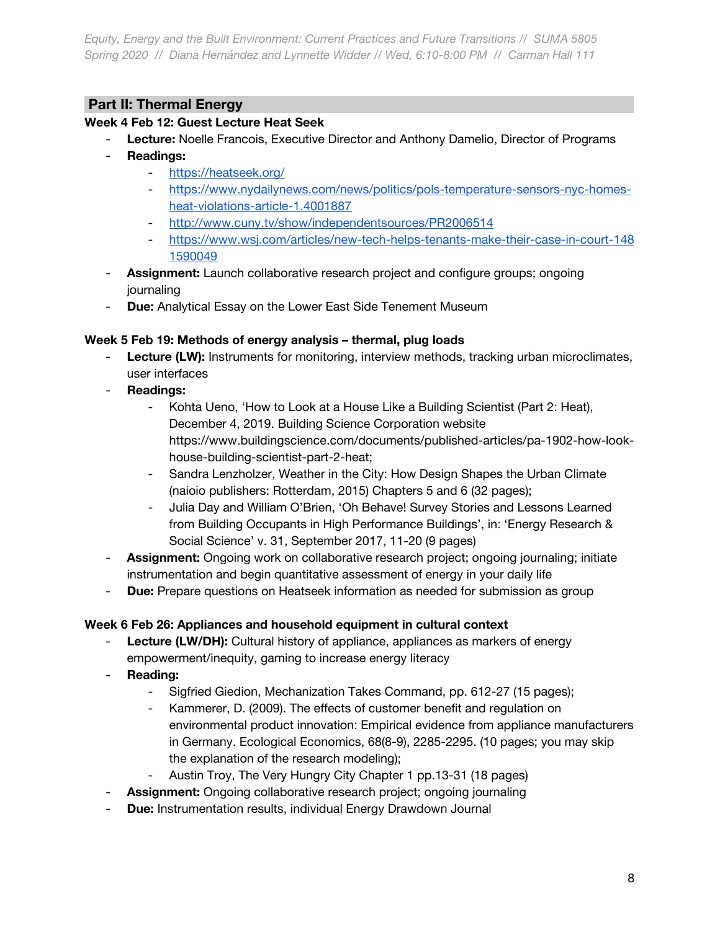# **Part II: Thermal Energy**

## **Week 4 Feb 12: Guest Lecture Heat Seek**

- **Lecture:** Noelle Francois, Executive Director and Anthony Damelio, Director of Programs
- **Readings:**
	- <https://heatseek.org/>
	- [https://www.nydailynews.com/news/politics/pols-temperature-sensors-nyc-homes](https://www.nydailynews.com/news/politics/pols-temperature-sensors-nyc-homes-heat-violations-article-1.4001887)[heat-violations-article-1.4001887](https://www.nydailynews.com/news/politics/pols-temperature-sensors-nyc-homes-heat-violations-article-1.4001887)
	- <http://www.cuny.tv/show/independentsources/PR2006514>
	- [https://www.wsj.com/articles/new-tech-helps-tenants-make-their-case-in-court-148](https://www.wsj.com/articles/new-tech-helps-tenants-make-their-case-in-court-1481590049) [1590049](https://www.wsj.com/articles/new-tech-helps-tenants-make-their-case-in-court-1481590049)
- **Assignment:** Launch collaborative research project and configure groups; ongoing journaling
- **Due:** Analytical Essay on the Lower East Side Tenement Museum

### **Week 5 Feb 19: Methods of energy analysis – thermal, plug loads**

- **Lecture (LW):** Instruments for monitoring, interview methods, tracking urban microclimates, user interfaces
- **Readings:**
	- Kohta Ueno, 'How to Look at a House Like a Building Scientist (Part 2: Heat), December 4, 2019. Building Science Corporation website https://www.buildingscience.com/documents/published-articles/pa-1902-how-lookhouse-building-scientist-part-2-heat;
	- Sandra Lenzholzer, Weather in the City: How Design Shapes the Urban Climate (naioio publishers: Rotterdam, 2015) Chapters 5 and 6 (32 pages);
	- Julia Day and William O'Brien, 'Oh Behave! Survey Stories and Lessons Learned from Building Occupants in High Performance Buildings', in: 'Energy Research & Social Science' v. 31, September 2017, 11-20 (9 pages)
- Assignment: Ongoing work on collaborative research project; ongoing journaling; initiate instrumentation and begin quantitative assessment of energy in your daily life
- **Due:** Prepare questions on Heatseek information as needed for submission as group

## **Week 6 Feb 26: Appliances and household equipment in cultural context**

- **Lecture (LW/DH):** Cultural history of appliance, appliances as markers of energy empowerment/inequity, gaming to increase energy literacy
- **Reading:**
	- Sigfried Giedion, Mechanization Takes Command, pp. 612-27 (15 pages);
	- Kammerer, D. (2009). The effects of customer benefit and regulation on environmental product innovation: Empirical evidence from appliance manufacturers in Germany. Ecological Economics, 68(8-9), 2285-2295. (10 pages; you may skip the explanation of the research modeling);
	- Austin Troy, The Very Hungry City Chapter 1 pp.13-31 (18 pages)
- Assignment: Ongoing collaborative research project; ongoing journaling
- **Due:** Instrumentation results, individual Energy Drawdown Journal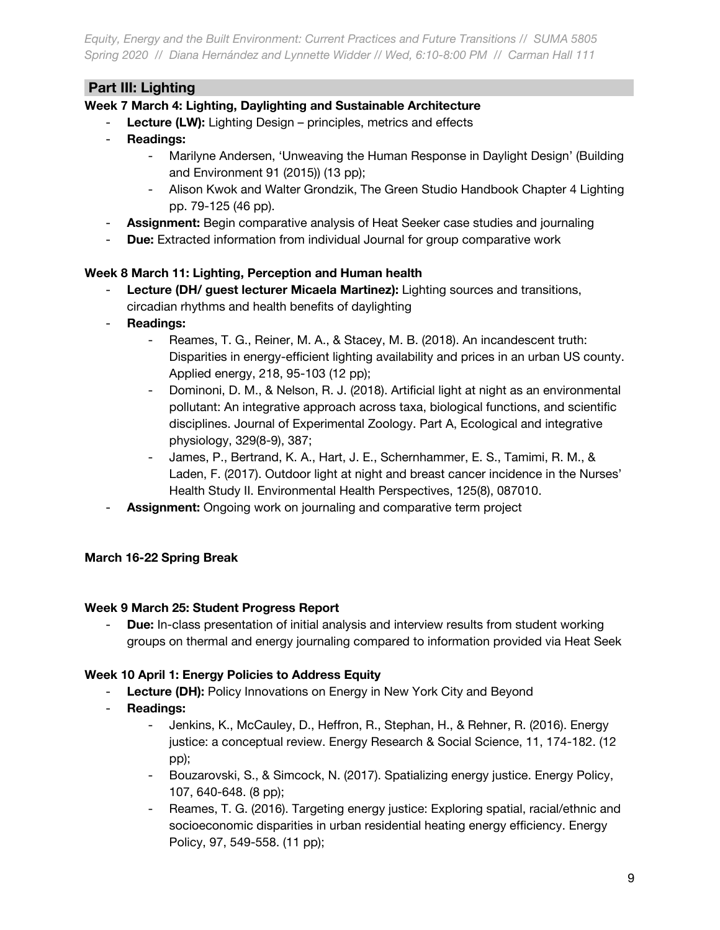# **Part III: Lighting \_**

## **Week 7 March 4: Lighting, Daylighting and Sustainable Architecture**

- Lecture (LW): Lighting Design principles, metrics and effects
- **Readings:**
	- Marilyne Andersen, 'Unweaving the Human Response in Daylight Design' (Building and Environment 91 (2015)) (13 pp);
	- Alison Kwok and Walter Grondzik, The Green Studio Handbook Chapter 4 Lighting pp. 79-125 (46 pp).
- **Assignment:** Begin comparative analysis of Heat Seeker case studies and journaling
- **Due:** Extracted information from individual Journal for group comparative work

## **Week 8 March 11: Lighting, Perception and Human health**

- Lecture (DH/ guest lecturer Micaela Martinez): Lighting sources and transitions, circadian rhythms and health benefits of daylighting
- **Readings:**
	- Reames, T. G., Reiner, M. A., & Stacey, M. B. (2018). An incandescent truth: Disparities in energy-efficient lighting availability and prices in an urban US county. Applied energy, 218, 95-103 (12 pp);
	- Dominoni, D. M., & Nelson, R. J. (2018). Artificial light at night as an environmental pollutant: An integrative approach across taxa, biological functions, and scientific disciplines. Journal of Experimental Zoology. Part A, Ecological and integrative physiology, 329(8-9), 387;
	- James, P., Bertrand, K. A., Hart, J. E., Schernhammer, E. S., Tamimi, R. M., & Laden, F. (2017). Outdoor light at night and breast cancer incidence in the Nurses' Health Study II. Environmental Health Perspectives, 125(8), 087010.
- Assignment: Ongoing work on journaling and comparative term project

## **March 16-22 Spring Break**

## **Week 9 March 25: Student Progress Report**

**Due:** In-class presentation of initial analysis and interview results from student working groups on thermal and energy journaling compared to information provided via Heat Seek

## **Week 10 April 1: Energy Policies to Address Equity**

- **Lecture (DH):** Policy Innovations on Energy in New York City and Beyond
- **Readings:**
	- Jenkins, K., McCauley, D., Heffron, R., Stephan, H., & Rehner, R. (2016). Energy justice: a conceptual review. Energy Research & Social Science, 11, 174-182. (12 pp);
	- Bouzarovski, S., & Simcock, N. (2017). Spatializing energy justice. Energy Policy, 107, 640-648. (8 pp);
	- Reames, T. G. (2016). Targeting energy justice: Exploring spatial, racial/ethnic and socioeconomic disparities in urban residential heating energy efficiency. Energy Policy, 97, 549-558. (11 pp);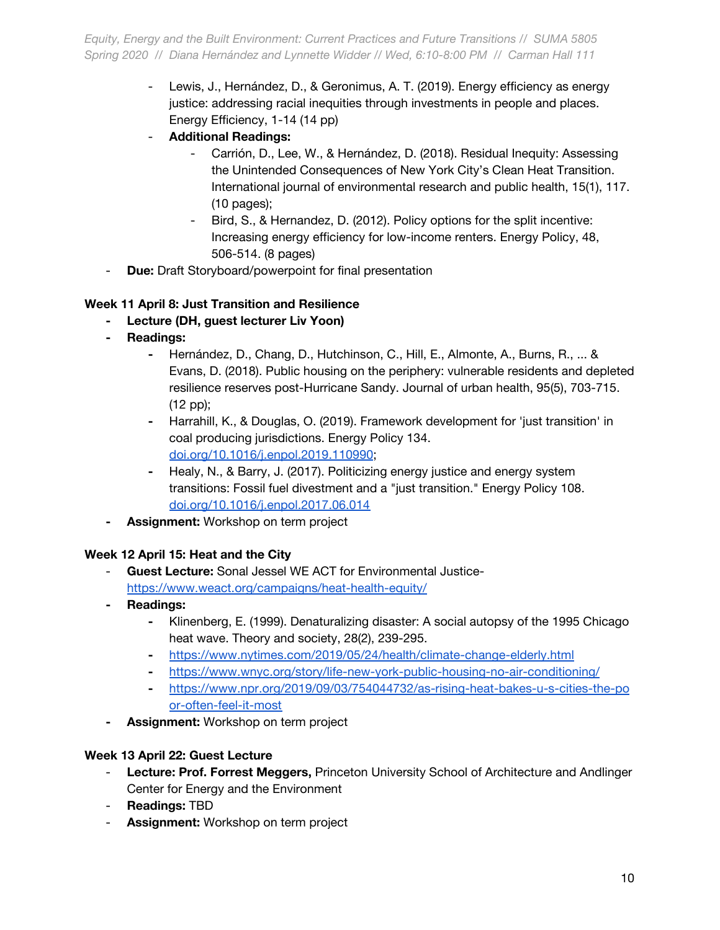- Lewis, J., Hernández, D., & Geronimus, A. T. (2019). Energy efficiency as energy justice: addressing racial inequities through investments in people and places. Energy Efficiency, 1-14 (14 pp)
- **Additional Readings:**
	- Carrión, D., Lee, W., & Hernández, D. (2018). Residual Inequity: Assessing the Unintended Consequences of New York City's Clean Heat Transition. International journal of environmental research and public health, 15(1), 117. (10 pages);
	- Bird, S., & Hernandez, D. (2012). Policy options for the split incentive: Increasing energy efficiency for low-income renters. Energy Policy, 48, 506-514. (8 pages)
- **Due:** Draft Storyboard/powerpoint for final presentation

## **Week 11 April 8: Just Transition and Resilience**

- **- Lecture (DH, guest lecturer Liv Yoon)**
- **- Readings:**
	- **-** Hernández, D., Chang, D., Hutchinson, C., Hill, E., Almonte, A., Burns, R., ... & Evans, D. (2018). Public housing on the periphery: vulnerable residents and depleted resilience reserves post-Hurricane Sandy. Journal of urban health, 95(5), 703-715. (12 pp);
	- **-** Harrahill, K., & Douglas, O. (2019). Framework development for 'just transition' in coal producing jurisdictions. Energy Policy 134. [doi.org/10.1016/j.enpol.2019.110990](https://urldefense.proofpoint.com/v2/url?u=http-3A__doi.org_10.1016_j.enpol.2019.110990&d=DwMFaQ&c=G2MiLlal7SXE3PeSnG8W6_JBU6FcdVjSsBSbw6gcR0U&r=tZjV3G5cIG_X2J8oq3XdvgATHT4eEPB4WpK6_6jJoSw&m=asoNvDh6IKIfGg4SErTuXJs1ClO-mO6tAjcRuM6XJM4&s=opty_x4vHyE8VdiBp4Na2LoX-TdUZKOU6XhRQrOOkRw&e=);
	- **-** Healy, N., & Barry, J. (2017). Politicizing energy justice and energy system transitions: Fossil fuel divestment and a "just transition." Energy Policy 108[.](https://urldefense.proofpoint.com/v2/url?u=http-3A__doi.org_10.1016_j.enpol.2017.06.014&d=DwMFaQ&c=G2MiLlal7SXE3PeSnG8W6_JBU6FcdVjSsBSbw6gcR0U&r=tZjV3G5cIG_X2J8oq3XdvgATHT4eEPB4WpK6_6jJoSw&m=asoNvDh6IKIfGg4SErTuXJs1ClO-mO6tAjcRuM6XJM4&s=IvdxUNEh4plxkeStB7ETneyklv2uA5BUS1-3HSouxaA&e=) [doi.org/10.1016/j.enpol.2017.06.014](https://urldefense.proofpoint.com/v2/url?u=http-3A__doi.org_10.1016_j.enpol.2017.06.014&d=DwMFaQ&c=G2MiLlal7SXE3PeSnG8W6_JBU6FcdVjSsBSbw6gcR0U&r=tZjV3G5cIG_X2J8oq3XdvgATHT4eEPB4WpK6_6jJoSw&m=asoNvDh6IKIfGg4SErTuXJs1ClO-mO6tAjcRuM6XJM4&s=IvdxUNEh4plxkeStB7ETneyklv2uA5BUS1-3HSouxaA&e=)
- **- Assignment:** Workshop on term project

#### **Week 12 April 15: Heat and the City**

- **Guest Lecture:** Sonal Jessel WE ACT for Environmental Justice<https://www.weact.org/campaigns/heat-health-equity/>
- **- Readings:**
	- **-** Klinenberg, E. (1999). Denaturalizing disaster: A social autopsy of the 1995 Chicago heat wave. Theory and society, 28(2), 239-295.
	- **-** <https://www.nytimes.com/2019/05/24/health/climate-change-elderly.html>
	- **-** <https://www.wnyc.org/story/life-new-york-public-housing-no-air-conditioning/>
	- **-** [https://www.npr.org/2019/09/03/754044732/as-rising-heat-bakes-u-s-cities-the-po](https://www.npr.org/2019/09/03/754044732/as-rising-heat-bakes-u-s-cities-the-poor-often-feel-it-most) [or-often-feel-it-most](https://www.npr.org/2019/09/03/754044732/as-rising-heat-bakes-u-s-cities-the-poor-often-feel-it-most)
- **- Assignment:** Workshop on term project

#### **Week 13 April 22: Guest Lecture**

- **Lecture: Prof. Forrest Meggers,** Princeton University School of Architecture and Andlinger Center for Energy and the Environment
- **Readings:** TBD
- Assignment: Workshop on term project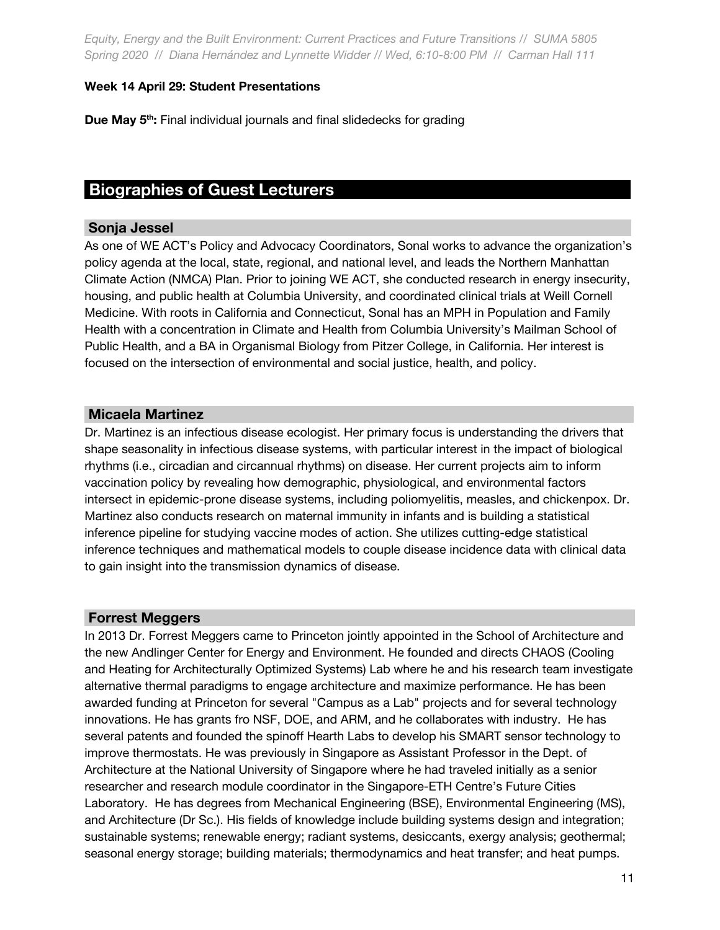#### **Week 14 April 29: Student Presentations**

**Due May 5th :** Final individual journals and final slidedecks for grading

# **Biographies of Guest Lecturers \_**

#### **Sonja Jessel \_**

As one of WE ACT's Policy and Advocacy Coordinators, Sonal works to advance the organization's policy agenda at the local, state, regional, and national level, and leads the Northern Manhattan Climate Action (NMCA) Plan. Prior to joining WE ACT, she conducted research in energy insecurity, housing, and public health at Columbia University, and coordinated clinical trials at Weill Cornell Medicine. With roots in California and Connecticut, Sonal has an MPH in Population and Family Health with a concentration in Climate and Health from Columbia University's Mailman School of Public Health, and a BA in Organismal Biology from Pitzer College, in California. Her interest is focused on the intersection of environmental and social justice, health, and policy.

### **Micaela Martinez \_**

Dr. Martinez is an infectious disease ecologist. Her primary focus is understanding the drivers that shape seasonality in infectious disease systems, with particular interest in the impact of biological rhythms (i.e., circadian and circannual rhythms) on disease. Her current projects aim to inform vaccination policy by revealing how demographic, physiological, and environmental factors intersect in epidemic-prone disease systems, including poliomyelitis, measles, and chickenpox. Dr. Martinez also conducts research on maternal immunity in infants and is building a statistical inference pipeline for studying vaccine modes of action. She utilizes cutting-edge statistical inference techniques and mathematical models to couple disease incidence data with clinical data to gain insight into the transmission dynamics of disease.

#### **Forrest Meggers \_**

In 2013 Dr. Forrest Meggers came to Princeton jointly appointed in the School of Architecture and the new Andlinger Center for Energy and Environment. He founded and directs CHAOS (Cooling and Heating for Architecturally Optimized Systems) Lab where he and his research team investigate alternative thermal paradigms to engage architecture and maximize performance. He has been awarded funding at Princeton for several "Campus as a Lab" projects and for several technology innovations. He has grants fro NSF, DOE, and ARM, and he collaborates with industry. He has several patents and founded the spinoff Hearth Labs to develop his SMART sensor technology to improve thermostats. He was previously in Singapore as Assistant Professor in the Dept. of Architecture at the National University of Singapore where he had traveled initially as a senior researcher and research module coordinator in the Singapore-ETH Centre's Future Cities Laboratory. He has degrees from Mechanical Engineering (BSE), Environmental Engineering (MS), and Architecture (Dr Sc.). His fields of knowledge include building systems design and integration; sustainable systems; renewable energy; radiant systems, desiccants, exergy analysis; geothermal; seasonal energy storage; building materials; thermodynamics and heat transfer; and heat pumps.